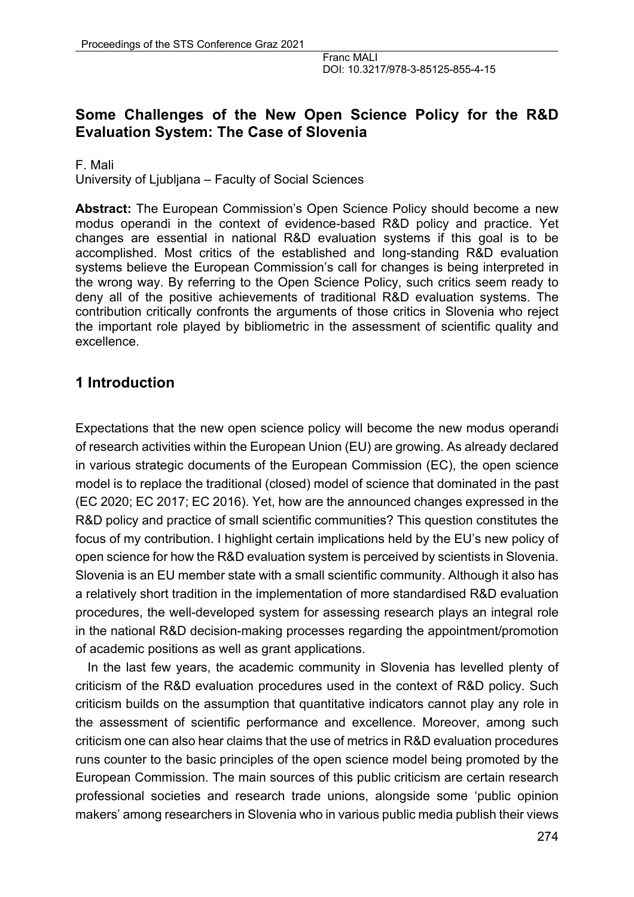# **Some Challenges of the New Open Science Policy for the R&D Evaluation System: The Case of Slovenia**

F. Mali University of Ljubljana – Faculty of Social Sciences

**Abstract:** The European Commission's Open Science Policy should become a new modus operandi in the context of evidence-based R&D policy and practice. Yet changes are essential in national R&D evaluation systems if this goal is to be accomplished. Most critics of the established and long-standing R&D evaluation systems believe the European Commission's call for changes is being interpreted in the wrong way. By referring to the Open Science Policy, such critics seem ready to deny all of the positive achievements of traditional R&D evaluation systems. The contribution critically confronts the arguments of those critics in Slovenia who reject the important role played by bibliometric in the assessment of scientific quality and excellence.

# **1 Introduction**

Expectations that the new open science policy will become the new modus operandi of research activities within the European Union (EU) are growing. As already declared in various strategic documents of the European Commission (EC), the open science model is to replace the traditional (closed) model of science that dominated in the past (EC 2020; EC 2017; EC 2016). Yet, how are the announced changes expressed in the R&D policy and practice of small scientific communities? This question constitutes the focus of my contribution. I highlight certain implications held by the EU's new policy of open science for how the R&D evaluation system is perceived by scientists in Slovenia. Slovenia is an EU member state with a small scientific community. Although it also has a relatively short tradition in the implementation of more standardised R&D evaluation procedures, the well-developed system for assessing research plays an integral role in the national R&D decision-making processes regarding the appointment/promotion of academic positions as well as grant applications.

In the last few years, the academic community in Slovenia has levelled plenty of criticism of the R&D evaluation procedures used in the context of R&D policy. Such criticism builds on the assumption that quantitative indicators cannot play any role in the assessment of scientific performance and excellence. Moreover, among such criticism one can also hear claims that the use of metrics in R&D evaluation procedures runs counter to the basic principles of the open science model being promoted by the European Commission. The main sources of this public criticism are certain research professional societies and research trade unions, alongside some 'public opinion makers' among researchers in Slovenia who in various public media publish their views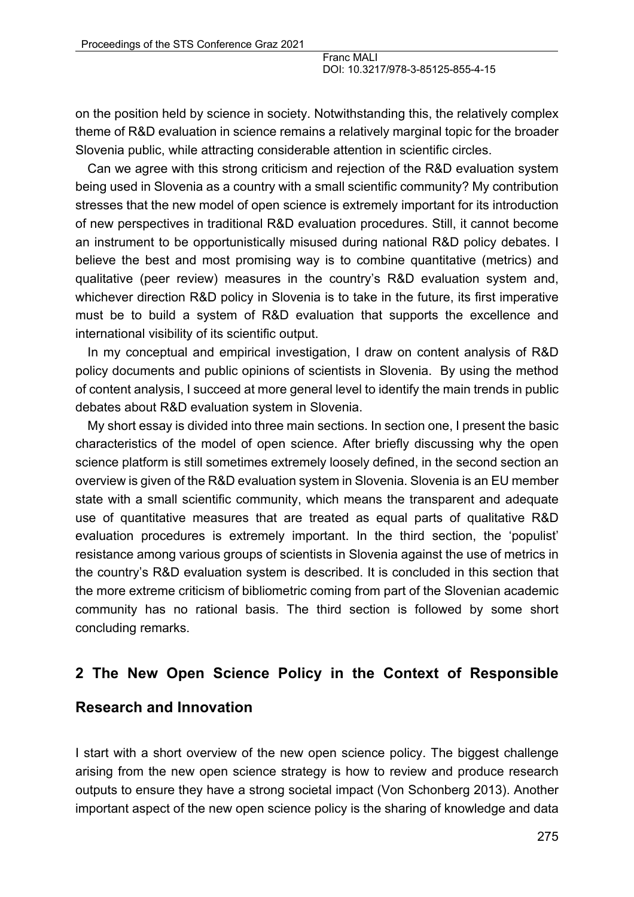on the position held by science in society. Notwithstanding this, the relatively complex theme of R&D evaluation in science remains a relatively marginal topic for the broader Slovenia public, while attracting considerable attention in scientific circles.

Can we agree with this strong criticism and rejection of the R&D evaluation system being used in Slovenia as a country with a small scientific community? My contribution stresses that the new model of open science is extremely important for its introduction of new perspectives in traditional R&D evaluation procedures. Still, it cannot become an instrument to be opportunistically misused during national R&D policy debates. I believe the best and most promising way is to combine quantitative (metrics) and qualitative (peer review) measures in the country's R&D evaluation system and, whichever direction R&D policy in Slovenia is to take in the future, its first imperative must be to build a system of R&D evaluation that supports the excellence and international visibility of its scientific output.

In my conceptual and empirical investigation, I draw on content analysis of R&D policy documents and public opinions of scientists in Slovenia. By using the method of content analysis, I succeed at more general level to identify the main trends in public debates about R&D evaluation system in Slovenia.

My short essay is divided into three main sections. In section one, I present the basic characteristics of the model of open science. After briefly discussing why the open science platform is still sometimes extremely loosely defined, in the second section an overview is given of the R&D evaluation system in Slovenia. Slovenia is an EU member state with a small scientific community, which means the transparent and adequate use of quantitative measures that are treated as equal parts of qualitative R&D evaluation procedures is extremely important. In the third section, the 'populist' resistance among various groups of scientists in Slovenia against the use of metrics in the country's R&D evaluation system is described. It is concluded in this section that the more extreme criticism of bibliometric coming from part of the Slovenian academic community has no rational basis. The third section is followed by some short concluding remarks.

#### **2 The New Open Science Policy in the Context of Responsible**

#### **Research and Innovation**

I start with a short overview of the new open science policy. The biggest challenge arising from the new open science strategy is how to review and produce research outputs to ensure they have a strong societal impact (Von Schonberg 2013). Another important aspect of the new open science policy is the sharing of knowledge and data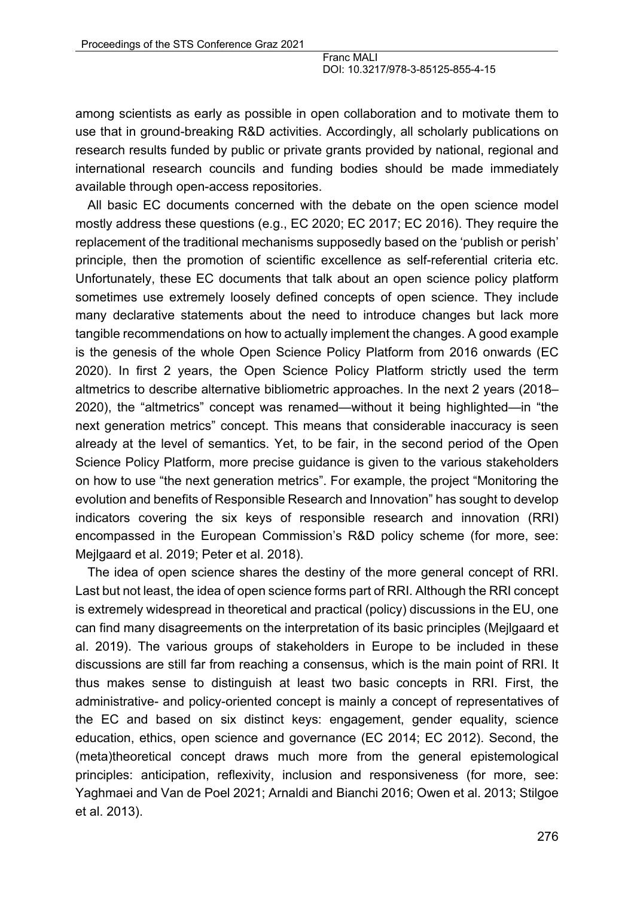among scientists as early as possible in open collaboration and to motivate them to use that in ground-breaking R&D activities. Accordingly, all scholarly publications on research results funded by public or private grants provided by national, regional and international research councils and funding bodies should be made immediately available through open-access repositories.

All basic EC documents concerned with the debate on the open science model mostly address these questions (e.g., EC 2020; EC 2017; EC 2016). They require the replacement of the traditional mechanisms supposedly based on the 'publish or perish' principle, then the promotion of scientific excellence as self-referential criteria etc. Unfortunately, these EC documents that talk about an open science policy platform sometimes use extremely loosely defined concepts of open science. They include many declarative statements about the need to introduce changes but lack more tangible recommendations on how to actually implement the changes. A good example is the genesis of the whole Open Science Policy Platform from 2016 onwards (EC 2020). In first 2 years, the Open Science Policy Platform strictly used the term altmetrics to describe alternative bibliometric approaches. In the next 2 years (2018– 2020), the "altmetrics" concept was renamed—without it being highlighted—in "the next generation metrics" concept. This means that considerable inaccuracy is seen already at the level of semantics. Yet, to be fair, in the second period of the Open Science Policy Platform, more precise guidance is given to the various stakeholders on how to use "the next generation metrics". For example, the project "Monitoring the evolution and benefits of Responsible Research and Innovation" has sought to develop indicators covering the six keys of responsible research and innovation (RRI) encompassed in the European Commission's R&D policy scheme (for more, see: Mejlgaard et al. 2019; Peter et al. 2018).

The idea of open science shares the destiny of the more general concept of RRI. Last but not least, the idea of open science forms part of RRI. Although the RRI concept is extremely widespread in theoretical and practical (policy) discussions in the EU, one can find many disagreements on the interpretation of its basic principles (Mejlgaard et al. 2019). The various groups of stakeholders in Europe to be included in these discussions are still far from reaching a consensus, which is the main point of RRI. It thus makes sense to distinguish at least two basic concepts in RRI. First, the administrative- and policy-oriented concept is mainly a concept of representatives of the EC and based on six distinct keys: engagement, gender equality, science education, ethics, open science and governance (EC 2014; EC 2012). Second, the (meta)theoretical concept draws much more from the general epistemological principles: anticipation, reflexivity, inclusion and responsiveness (for more, see: Yaghmaei and Van de Poel 2021; Arnaldi and Bianchi 2016; Owen et al. 2013; Stilgoe et al. 2013).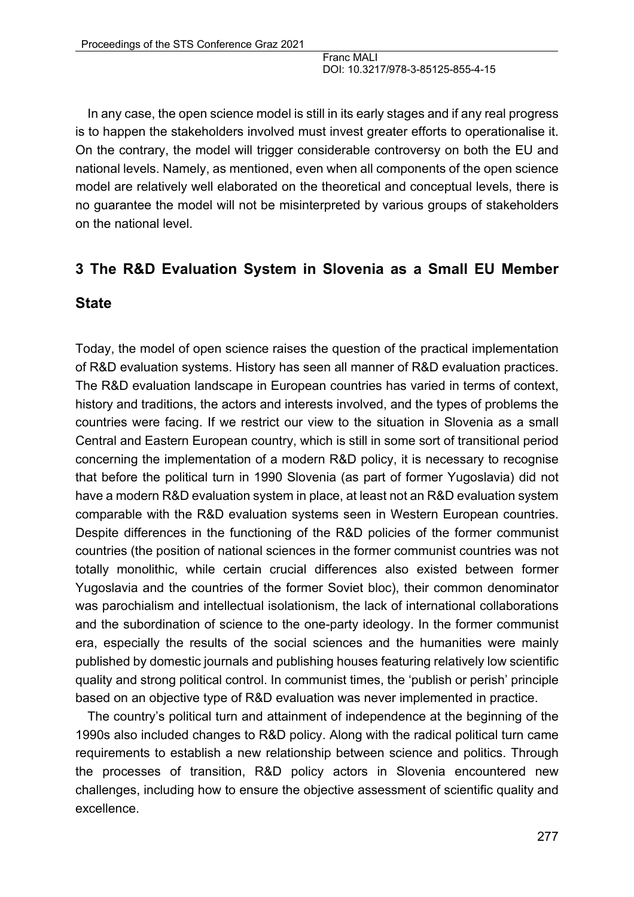In any case, the open science model is still in its early stages and if any real progress is to happen the stakeholders involved must invest greater efforts to operationalise it. On the contrary, the model will trigger considerable controversy on both the EU and national levels. Namely, as mentioned, even when all components of the open science model are relatively well elaborated on the theoretical and conceptual levels, there is no guarantee the model will not be misinterpreted by various groups of stakeholders on the national level.

### **3 The R&D Evaluation System in Slovenia as a Small EU Member**

#### **State**

Today, the model of open science raises the question of the practical implementation of R&D evaluation systems. History has seen all manner of R&D evaluation practices. The R&D evaluation landscape in European countries has varied in terms of context, history and traditions, the actors and interests involved, and the types of problems the countries were facing. If we restrict our view to the situation in Slovenia as a small Central and Eastern European country, which is still in some sort of transitional period concerning the implementation of a modern R&D policy, it is necessary to recognise that before the political turn in 1990 Slovenia (as part of former Yugoslavia) did not have a modern R&D evaluation system in place, at least not an R&D evaluation system comparable with the R&D evaluation systems seen in Western European countries. Despite differences in the functioning of the R&D policies of the former communist countries (the position of national sciences in the former communist countries was not totally monolithic, while certain crucial differences also existed between former Yugoslavia and the countries of the former Soviet bloc), their common denominator was parochialism and intellectual isolationism, the lack of international collaborations and the subordination of science to the one-party ideology. In the former communist era, especially the results of the social sciences and the humanities were mainly published by domestic journals and publishing houses featuring relatively low scientific quality and strong political control. In communist times, the 'publish or perish' principle based on an objective type of R&D evaluation was never implemented in practice.

The country's political turn and attainment of independence at the beginning of the 1990s also included changes to R&D policy. Along with the radical political turn came requirements to establish a new relationship between science and politics. Through the processes of transition, R&D policy actors in Slovenia encountered new challenges, including how to ensure the objective assessment of scientific quality and excellence.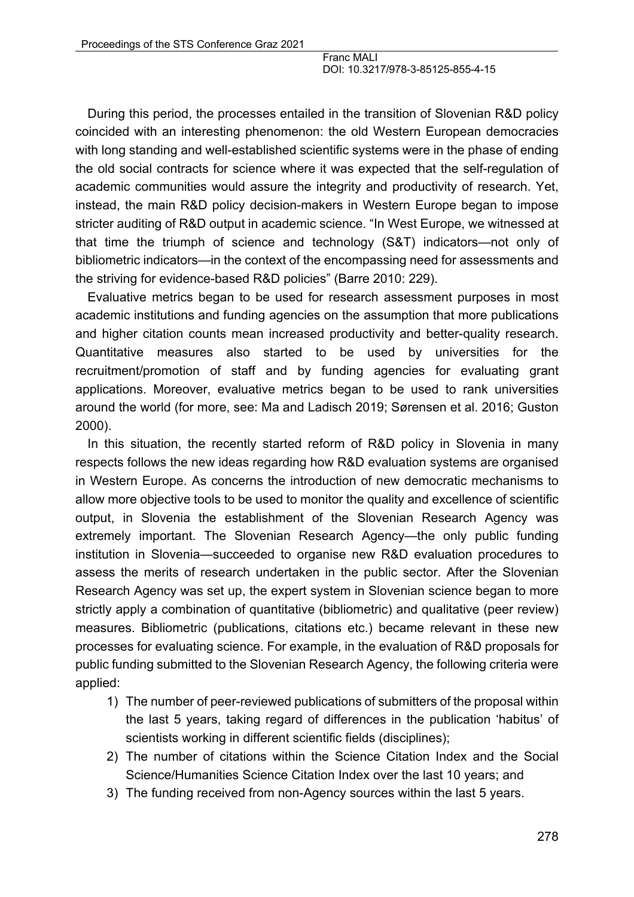During this period, the processes entailed in the transition of Slovenian R&D policy coincided with an interesting phenomenon: the old Western European democracies with long standing and well-established scientific systems were in the phase of ending the old social contracts for science where it was expected that the self-regulation of academic communities would assure the integrity and productivity of research. Yet, instead, the main R&D policy decision-makers in Western Europe began to impose stricter auditing of R&D output in academic science. "In West Europe, we witnessed at that time the triumph of science and technology (S&T) indicators—not only of bibliometric indicators—in the context of the encompassing need for assessments and the striving for evidence-based R&D policies" (Barre 2010: 229).

Evaluative metrics began to be used for research assessment purposes in most academic institutions and funding agencies on the assumption that more publications and higher citation counts mean increased productivity and better-quality research. Quantitative measures also started to be used by universities for the recruitment/promotion of staff and by funding agencies for evaluating grant applications. Moreover, evaluative metrics began to be used to rank universities around the world (for more, see: Ma and Ladisch 2019; Sørensen et al. 2016; Guston 2000).

In this situation, the recently started reform of R&D policy in Slovenia in many respects follows the new ideas regarding how R&D evaluation systems are organised in Western Europe. As concerns the introduction of new democratic mechanisms to allow more objective tools to be used to monitor the quality and excellence of scientific output, in Slovenia the establishment of the Slovenian Research Agency was extremely important. The Slovenian Research Agency—the only public funding institution in Slovenia—succeeded to organise new R&D evaluation procedures to assess the merits of research undertaken in the public sector. After the Slovenian Research Agency was set up, the expert system in Slovenian science began to more strictly apply a combination of quantitative (bibliometric) and qualitative (peer review) measures. Bibliometric (publications, citations etc.) became relevant in these new processes for evaluating science. For example, in the evaluation of R&D proposals for public funding submitted to the Slovenian Research Agency, the following criteria were applied:

- 1) The number of peer-reviewed publications of submitters of the proposal within the last 5 years, taking regard of differences in the publication 'habitus' of scientists working in different scientific fields (disciplines);
- 2) The number of citations within the Science Citation Index and the Social Science/Humanities Science Citation Index over the last 10 years; and
- 3) The funding received from non-Agency sources within the last 5 years.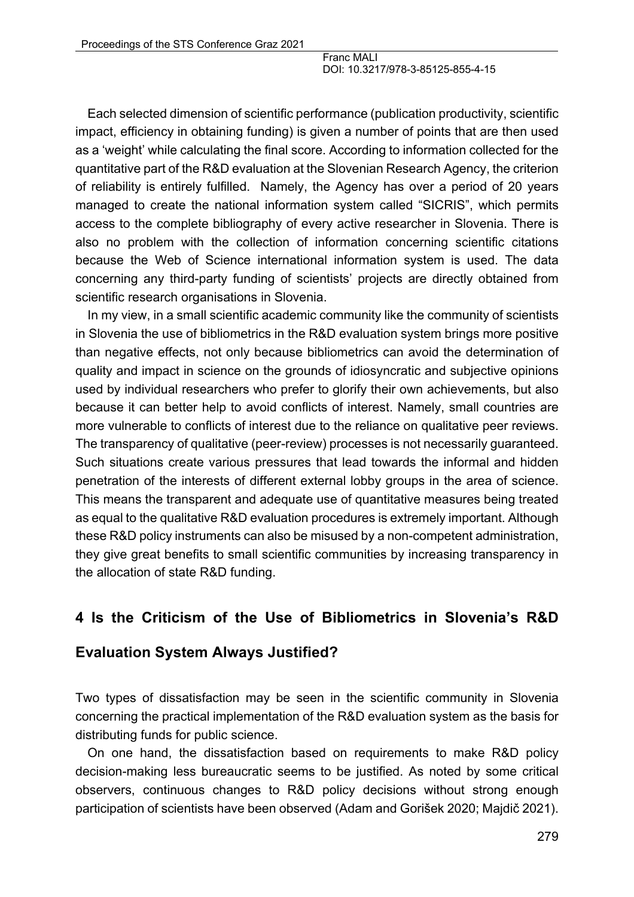Each selected dimension of scientific performance (publication productivity, scientific impact, efficiency in obtaining funding) is given a number of points that are then used as a 'weight' while calculating the final score. According to information collected for the quantitative part of the R&D evaluation at the Slovenian Research Agency, the criterion of reliability is entirely fulfilled. Namely, the Agency has over a period of 20 years managed to create the national information system called "SICRIS", which permits access to the complete bibliography of every active researcher in Slovenia. There is also no problem with the collection of information concerning scientific citations because the Web of Science international information system is used. The data concerning any third-party funding of scientists' projects are directly obtained from scientific research organisations in Slovenia.

In my view, in a small scientific academic community like the community of scientists in Slovenia the use of bibliometrics in the R&D evaluation system brings more positive than negative effects, not only because bibliometrics can avoid the determination of quality and impact in science on the grounds of idiosyncratic and subjective opinions used by individual researchers who prefer to glorify their own achievements, but also because it can better help to avoid conflicts of interest. Namely, small countries are more vulnerable to conflicts of interest due to the reliance on qualitative peer reviews. The transparency of qualitative (peer-review) processes is not necessarily guaranteed. Such situations create various pressures that lead towards the informal and hidden penetration of the interests of different external lobby groups in the area of science. This means the transparent and adequate use of quantitative measures being treated as equal to the qualitative R&D evaluation procedures is extremely important. Although these R&D policy instruments can also be misused by a non-competent administration, they give great benefits to small scientific communities by increasing transparency in the allocation of state R&D funding.

# **4 Is the Criticism of the Use of Bibliometrics in Slovenia's R&D**

### **Evaluation System Always Justified?**

Two types of dissatisfaction may be seen in the scientific community in Slovenia concerning the practical implementation of the R&D evaluation system as the basis for distributing funds for public science.

On one hand, the dissatisfaction based on requirements to make R&D policy decision-making less bureaucratic seems to be justified. As noted by some critical observers, continuous changes to R&D policy decisions without strong enough participation of scientists have been observed (Adam and Gorišek 2020; Majdič 2021).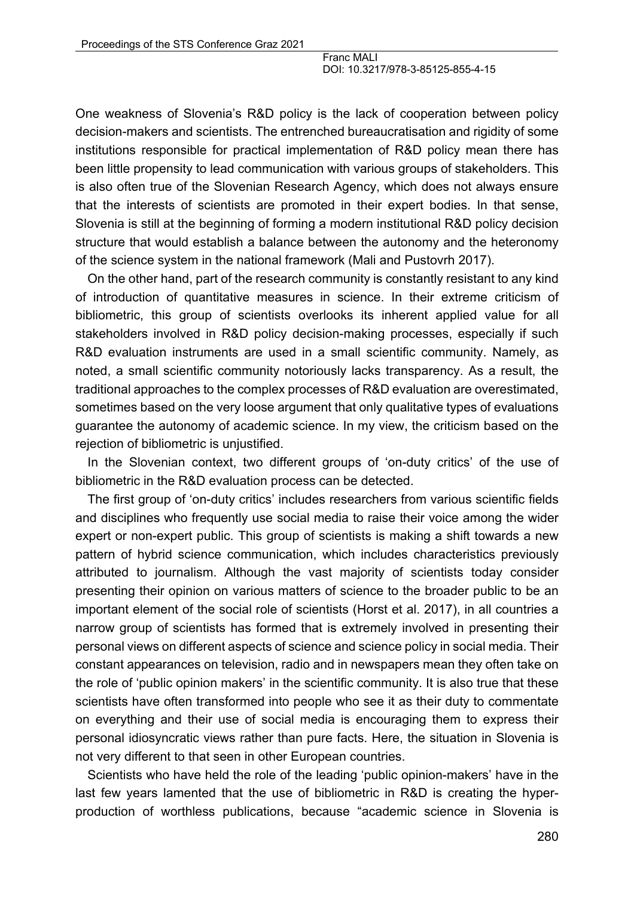One weakness of Slovenia's R&D policy is the lack of cooperation between policy decision-makers and scientists. The entrenched bureaucratisation and rigidity of some institutions responsible for practical implementation of R&D policy mean there has been little propensity to lead communication with various groups of stakeholders. This is also often true of the Slovenian Research Agency, which does not always ensure that the interests of scientists are promoted in their expert bodies. In that sense, Slovenia is still at the beginning of forming a modern institutional R&D policy decision structure that would establish a balance between the autonomy and the heteronomy of the science system in the national framework (Mali and Pustovrh 2017).

On the other hand, part of the research community is constantly resistant to any kind of introduction of quantitative measures in science. In their extreme criticism of bibliometric, this group of scientists overlooks its inherent applied value for all stakeholders involved in R&D policy decision-making processes, especially if such R&D evaluation instruments are used in a small scientific community. Namely, as noted, a small scientific community notoriously lacks transparency. As a result, the traditional approaches to the complex processes of R&D evaluation are overestimated, sometimes based on the very loose argument that only qualitative types of evaluations guarantee the autonomy of academic science. In my view, the criticism based on the rejection of bibliometric is unjustified.

In the Slovenian context, two different groups of 'on-duty critics' of the use of bibliometric in the R&D evaluation process can be detected.

The first group of 'on-duty critics' includes researchers from various scientific fields and disciplines who frequently use social media to raise their voice among the wider expert or non-expert public. This group of scientists is making a shift towards a new pattern of hybrid science communication, which includes characteristics previously attributed to journalism. Although the vast majority of scientists today consider presenting their opinion on various matters of science to the broader public to be an important element of the social role of scientists (Horst et al. 2017), in all countries a narrow group of scientists has formed that is extremely involved in presenting their personal views on different aspects of science and science policy in social media. Their constant appearances on television, radio and in newspapers mean they often take on the role of 'public opinion makers' in the scientific community. It is also true that these scientists have often transformed into people who see it as their duty to commentate on everything and their use of social media is encouraging them to express their personal idiosyncratic views rather than pure facts. Here, the situation in Slovenia is not very different to that seen in other European countries.

Scientists who have held the role of the leading 'public opinion-makers' have in the last few years lamented that the use of bibliometric in R&D is creating the hyperproduction of worthless publications, because "academic science in Slovenia is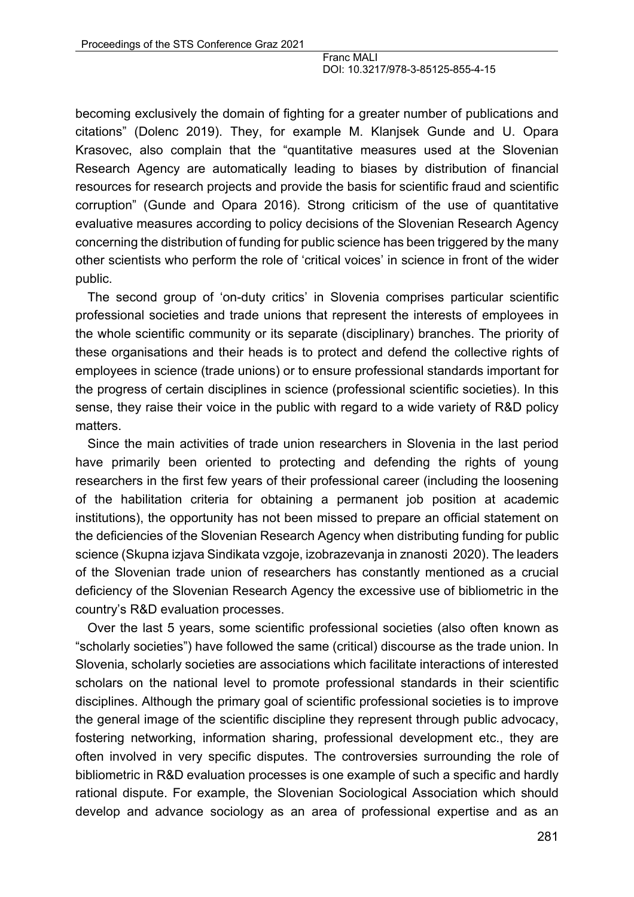becoming exclusively the domain of fighting for a greater number of publications and citations" (Dolenc 2019). They, for example M. Klanjsek Gunde and U. Opara Krasovec, also complain that the "quantitative measures used at the Slovenian Research Agency are automatically leading to biases by distribution of financial resources for research projects and provide the basis for scientific fraud and scientific corruption" (Gunde and Opara 2016). Strong criticism of the use of quantitative evaluative measures according to policy decisions of the Slovenian Research Agency concerning the distribution of funding for public science has been triggered by the many other scientists who perform the role of 'critical voices' in science in front of the wider public.

The second group of 'on-duty critics' in Slovenia comprises particular scientific professional societies and trade unions that represent the interests of employees in the whole scientific community or its separate (disciplinary) branches. The priority of these organisations and their heads is to protect and defend the collective rights of employees in science (trade unions) or to ensure professional standards important for the progress of certain disciplines in science (professional scientific societies). In this sense, they raise their voice in the public with regard to a wide variety of R&D policy matters.

Since the main activities of trade union researchers in Slovenia in the last period have primarily been oriented to protecting and defending the rights of young researchers in the first few years of their professional career (including the loosening of the habilitation criteria for obtaining a permanent job position at academic institutions), the opportunity has not been missed to prepare an official statement on the deficiencies of the Slovenian Research Agency when distributing funding for public science (Skupna izjava Sindikata vzgoje, izobrazevanja in znanosti 2020). The leaders of the Slovenian trade union of researchers has constantly mentioned as a crucial deficiency of the Slovenian Research Agency the excessive use of bibliometric in the country's R&D evaluation processes.

Over the last 5 years, some scientific professional societies (also often known as "scholarly societies") have followed the same (critical) discourse as the trade union. In Slovenia, scholarly societies are associations which facilitate interactions of interested scholars on the national level to promote professional standards in their scientific disciplines. Although the primary goal of scientific professional societies is to improve the general image of the scientific discipline they represent through public advocacy, fostering networking, information sharing, professional development etc., they are often involved in very specific disputes. The controversies surrounding the role of bibliometric in R&D evaluation processes is one example of such a specific and hardly rational dispute. For example, the Slovenian Sociological Association which should develop and advance sociology as an area of professional expertise and as an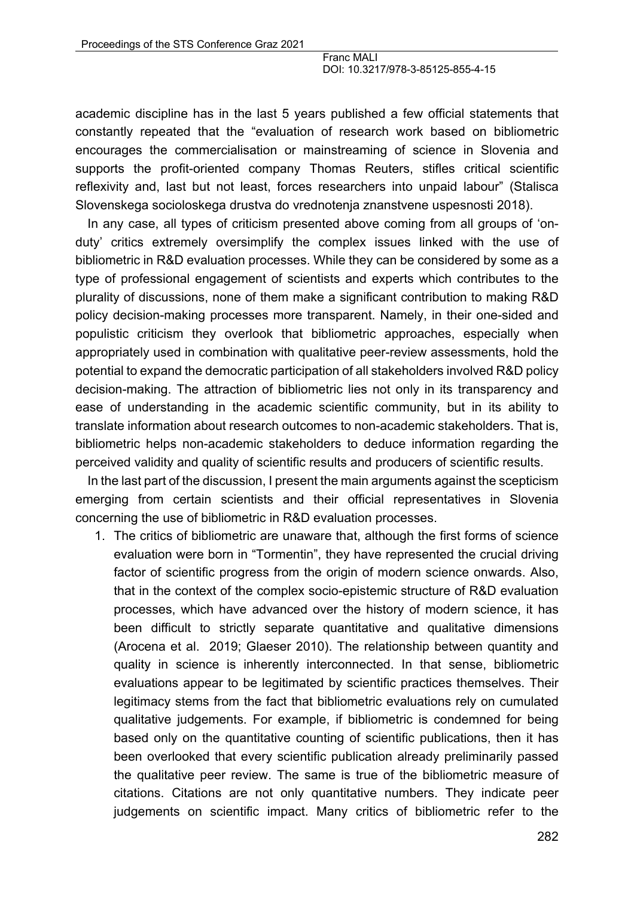academic discipline has in the last 5 years published a few official statements that constantly repeated that the "evaluation of research work based on bibliometric encourages the commercialisation or mainstreaming of science in Slovenia and supports the profit-oriented company Thomas Reuters, stifles critical scientific reflexivity and, last but not least, forces researchers into unpaid labour" (Stalisca Slovenskega socioloskega drustva do vrednotenja znanstvene uspesnosti 2018).

In any case, all types of criticism presented above coming from all groups of 'onduty' critics extremely oversimplify the complex issues linked with the use of bibliometric in R&D evaluation processes. While they can be considered by some as a type of professional engagement of scientists and experts which contributes to the plurality of discussions, none of them make a significant contribution to making R&D policy decision-making processes more transparent. Namely, in their one-sided and populistic criticism they overlook that bibliometric approaches, especially when appropriately used in combination with qualitative peer-review assessments, hold the potential to expand the democratic participation of all stakeholders involved R&D policy decision-making. The attraction of bibliometric lies not only in its transparency and ease of understanding in the academic scientific community, but in its ability to translate information about research outcomes to non-academic stakeholders. That is, bibliometric helps non-academic stakeholders to deduce information regarding the perceived validity and quality of scientific results and producers of scientific results.

In the last part of the discussion, I present the main arguments against the scepticism emerging from certain scientists and their official representatives in Slovenia concerning the use of bibliometric in R&D evaluation processes.

1. The critics of bibliometric are unaware that, although the first forms of science evaluation were born in "Tormentin", they have represented the crucial driving factor of scientific progress from the origin of modern science onwards. Also, that in the context of the complex socio-epistemic structure of R&D evaluation processes, which have advanced over the history of modern science, it has been difficult to strictly separate quantitative and qualitative dimensions (Arocena et al. 2019; Glaeser 2010). The relationship between quantity and quality in science is inherently interconnected. In that sense, bibliometric evaluations appear to be legitimated by scientific practices themselves. Their legitimacy stems from the fact that bibliometric evaluations rely on cumulated qualitative judgements. For example, if bibliometric is condemned for being based only on the quantitative counting of scientific publications, then it has been overlooked that every scientific publication already preliminarily passed the qualitative peer review. The same is true of the bibliometric measure of citations. Citations are not only quantitative numbers. They indicate peer judgements on scientific impact. Many critics of bibliometric refer to the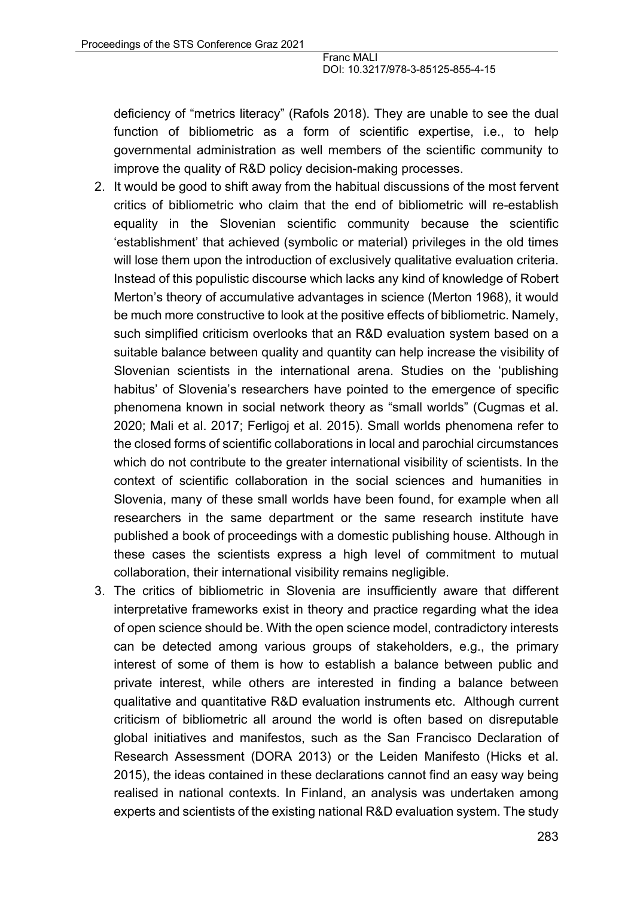deficiency of "metrics literacy" (Rafols 2018). They are unable to see the dual function of bibliometric as a form of scientific expertise, i.e., to help governmental administration as well members of the scientific community to improve the quality of R&D policy decision-making processes.

- 2. It would be good to shift away from the habitual discussions of the most fervent critics of bibliometric who claim that the end of bibliometric will re-establish equality in the Slovenian scientific community because the scientific 'establishment' that achieved (symbolic or material) privileges in the old times will lose them upon the introduction of exclusively qualitative evaluation criteria. Instead of this populistic discourse which lacks any kind of knowledge of Robert Merton's theory of accumulative advantages in science (Merton 1968), it would be much more constructive to look at the positive effects of bibliometric. Namely, such simplified criticism overlooks that an R&D evaluation system based on a suitable balance between quality and quantity can help increase the visibility of Slovenian scientists in the international arena. Studies on the 'publishing habitus' of Slovenia's researchers have pointed to the emergence of specific phenomena known in social network theory as "small worlds" (Cugmas et al. 2020; Mali et al. 2017; Ferligoj et al. 2015). Small worlds phenomena refer to the closed forms of scientific collaborations in local and parochial circumstances which do not contribute to the greater international visibility of scientists. In the context of scientific collaboration in the social sciences and humanities in Slovenia, many of these small worlds have been found, for example when all researchers in the same department or the same research institute have published a book of proceedings with a domestic publishing house. Although in these cases the scientists express a high level of commitment to mutual collaboration, their international visibility remains negligible.
- 3. The critics of bibliometric in Slovenia are insufficiently aware that different interpretative frameworks exist in theory and practice regarding what the idea of open science should be. With the open science model, contradictory interests can be detected among various groups of stakeholders, e.g., the primary interest of some of them is how to establish a balance between public and private interest, while others are interested in finding a balance between qualitative and quantitative R&D evaluation instruments etc. Although current criticism of bibliometric all around the world is often based on disreputable global initiatives and manifestos, such as the San Francisco Declaration of Research Assessment (DORA 2013) or the Leiden Manifesto (Hicks et al. 2015), the ideas contained in these declarations cannot find an easy way being realised in national contexts. In Finland, an analysis was undertaken among experts and scientists of the existing national R&D evaluation system. The study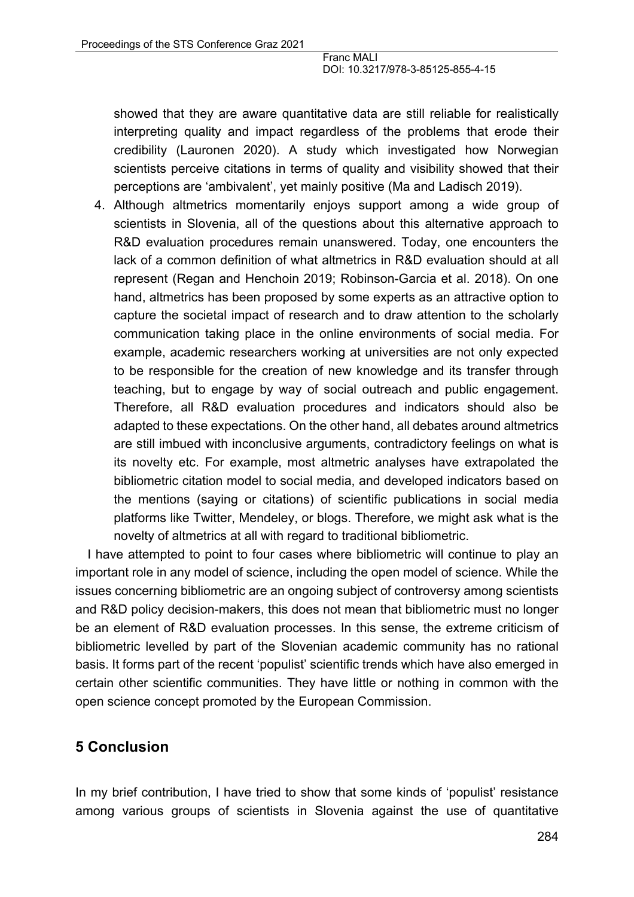showed that they are aware quantitative data are still reliable for realistically interpreting quality and impact regardless of the problems that erode their credibility (Lauronen 2020). A study which investigated how Norwegian scientists perceive citations in terms of quality and visibility showed that their perceptions are 'ambivalent', yet mainly positive (Ma and Ladisch 2019).

4. Although altmetrics momentarily enjoys support among a wide group of scientists in Slovenia, all of the questions about this alternative approach to R&D evaluation procedures remain unanswered. Today, one encounters the lack of a common definition of what altmetrics in R&D evaluation should at all represent (Regan and Henchoin 2019; Robinson-Garcia et al. 2018). On one hand, altmetrics has been proposed by some experts as an attractive option to capture the societal impact of research and to draw attention to the scholarly communication taking place in the online environments of social media. For example, academic researchers working at universities are not only expected to be responsible for the creation of new knowledge and its transfer through teaching, but to engage by way of social outreach and public engagement. Therefore, all R&D evaluation procedures and indicators should also be adapted to these expectations. On the other hand, all debates around altmetrics are still imbued with inconclusive arguments, contradictory feelings on what is its novelty etc. For example, most altmetric analyses have extrapolated the bibliometric citation model to social media, and developed indicators based on the mentions (saying or citations) of scientific publications in social media platforms like Twitter, Mendeley, or blogs. Therefore, we might ask what is the novelty of altmetrics at all with regard to traditional bibliometric.

I have attempted to point to four cases where bibliometric will continue to play an important role in any model of science, including the open model of science. While the issues concerning bibliometric are an ongoing subject of controversy among scientists and R&D policy decision-makers, this does not mean that bibliometric must no longer be an element of R&D evaluation processes. In this sense, the extreme criticism of bibliometric levelled by part of the Slovenian academic community has no rational basis. It forms part of the recent 'populist' scientific trends which have also emerged in certain other scientific communities. They have little or nothing in common with the open science concept promoted by the European Commission.

# **5 Conclusion**

In my brief contribution, I have tried to show that some kinds of 'populist' resistance among various groups of scientists in Slovenia against the use of quantitative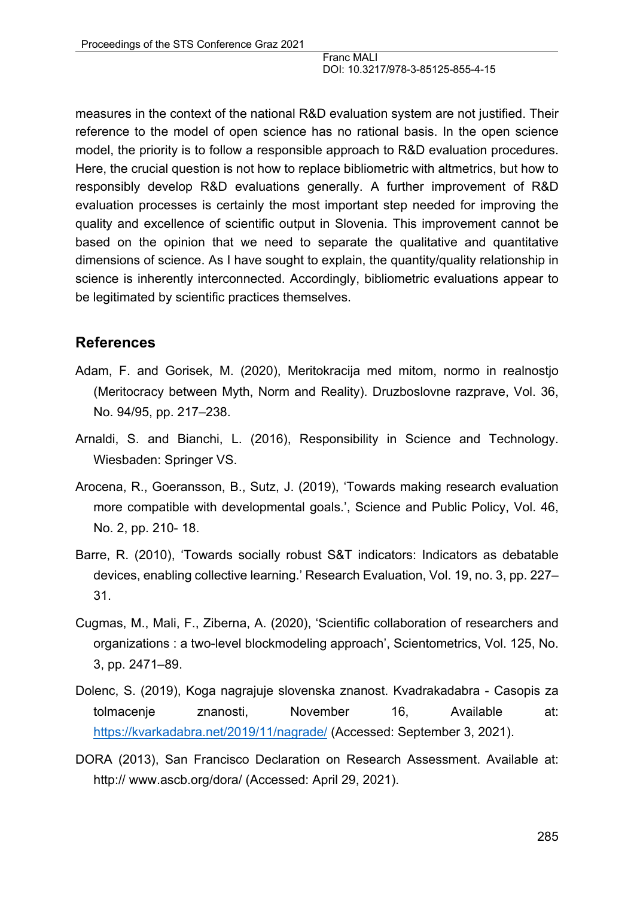measures in the context of the national R&D evaluation system are not justified. Their reference to the model of open science has no rational basis. In the open science model, the priority is to follow a responsible approach to R&D evaluation procedures. Here, the crucial question is not how to replace bibliometric with altmetrics, but how to responsibly develop R&D evaluations generally. A further improvement of R&D evaluation processes is certainly the most important step needed for improving the quality and excellence of scientific output in Slovenia. This improvement cannot be based on the opinion that we need to separate the qualitative and quantitative dimensions of science. As I have sought to explain, the quantity/quality relationship in science is inherently interconnected. Accordingly, bibliometric evaluations appear to be legitimated by scientific practices themselves.

### **References**

- Adam, F. and Gorisek, M. (2020), Meritokracija med mitom, normo in realnostjo (Meritocracy between Myth, Norm and Reality). Druzboslovne razprave, Vol. 36, No. 94/95, pp. 217–238.
- Arnaldi, S. and Bianchi, L. (2016), Responsibility in Science and Technology. Wiesbaden: Springer VS.
- Arocena, R., Goeransson, B., Sutz, J. (2019), 'Towards making research evaluation more compatible with developmental goals.', Science and Public Policy, Vol. 46, No. 2, pp. 210- 18.
- Barre, R. (2010), 'Towards socially robust S&T indicators: Indicators as debatable devices, enabling collective learning.' Research Evaluation, Vol. 19, no. 3, pp. 227– 31.
- Cugmas, M., Mali, F., Ziberna, A. (2020), 'Scientific collaboration of researchers and organizations : a two-level blockmodeling approach', Scientometrics, Vol. 125, No. 3, pp. 2471–89.
- Dolenc, S. (2019), Koga nagrajuje slovenska znanost. Kvadrakadabra Casopis za tolmacenje znanosti, November 16, Available at: https://kvarkadabra.net/2019/11/nagrade/ (Accessed: September 3, 2021).
- DORA (2013), San Francisco Declaration on Research Assessment. Available at: http:// www.ascb.org/dora/ (Accessed: April 29, 2021).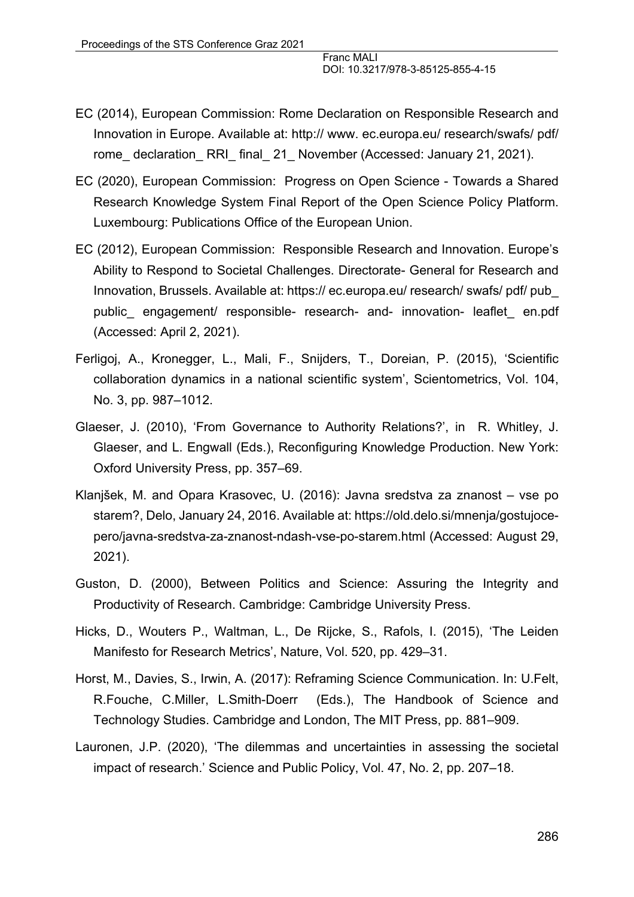- EC (2014), European Commission: Rome Declaration on Responsible Research and Innovation in Europe. Available at: http:// www. ec.europa.eu/ research/swafs/ pdf/ rome declaration RRI final 21 November (Accessed: January 21, 2021).
- EC (2020), European Commission: Progress on Open Science Towards a Shared Research Knowledge System Final Report of the Open Science Policy Platform. Luxembourg: Publications Office of the European Union.
- EC (2012), European Commission: Responsible Research and Innovation. Europe's Ability to Respond to Societal Challenges. Directorate- General for Research and Innovation, Brussels. Available at: https:// ec.europa.eu/ research/ swafs/ pdf/ pub\_ public\_ engagement/ responsible- research- and- innovation- leaflet\_ en.pdf (Accessed: April 2, 2021).
- Ferligoj, A., Kronegger, L., Mali, F., Snijders, T., Doreian, P. (2015), 'Scientific collaboration dynamics in a national scientific system', Scientometrics, Vol. 104, No. 3, pp. 987–1012.
- Glaeser, J. (2010), 'From Governance to Authority Relations?', in R. Whitley, J. Glaeser, and L. Engwall (Eds.), Reconfiguring Knowledge Production. New York: Oxford University Press, pp. 357–69.
- Klanjšek, M. and Opara Krasovec, U. (2016): Javna sredstva za znanost vse po starem?, Delo, January 24, 2016. Available at: https://old.delo.si/mnenja/gostujocepero/javna-sredstva-za-znanost-ndash-vse-po-starem.html (Accessed: August 29, 2021).
- Guston, D. (2000), Between Politics and Science: Assuring the Integrity and Productivity of Research. Cambridge: Cambridge University Press.
- Hicks, D., Wouters P., Waltman, L., De Rijcke, S., Rafols, I. (2015), 'The Leiden Manifesto for Research Metrics', Nature, Vol. 520, pp. 429–31.
- Horst, M., Davies, S., Irwin, A. (2017): Reframing Science Communication. In: U.Felt, R.Fouche, C.Miller, L.Smith-Doerr (Eds.), The Handbook of Science and Technology Studies. Cambridge and London, The MIT Press, pp. 881–909.
- Lauronen, J.P. (2020), 'The dilemmas and uncertainties in assessing the societal impact of research.' Science and Public Policy, Vol. 47, No. 2, pp. 207–18.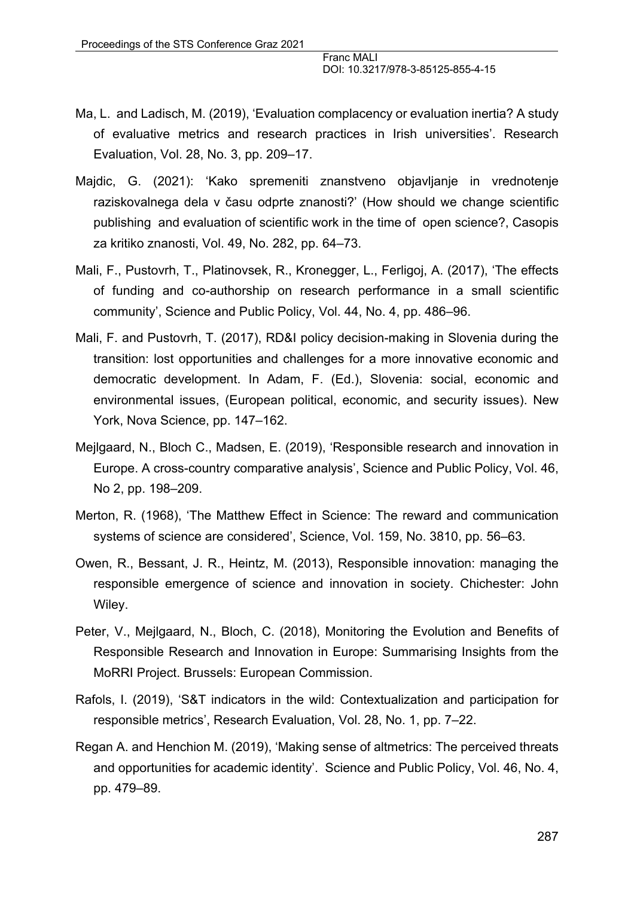- Ma, L. and Ladisch, M. (2019), 'Evaluation complacency or evaluation inertia? A study of evaluative metrics and research practices in Irish universities'. Research Evaluation, Vol. 28, No. 3, pp. 209–17.
- Majdic, G. (2021): 'Kako spremeniti znanstveno objavljanje in vrednotenje raziskovalnega dela v času odprte znanosti?' (How should we change scientific publishing and evaluation of scientific work in the time of open science?, Casopis za kritiko znanosti, Vol. 49, No. 282, pp. 64–73.
- Mali, F., Pustovrh, T., Platinovsek, R., Kronegger, L., Ferligoj, A. (2017), 'The effects of funding and co-authorship on research performance in a small scientific community', Science and Public Policy, Vol. 44, No. 4, pp. 486–96.
- Mali, F. and Pustovrh, T. (2017), RD&I policy decision-making in Slovenia during the transition: lost opportunities and challenges for a more innovative economic and democratic development. In Adam, F. (Ed.), Slovenia: social, economic and environmental issues, (European political, economic, and security issues). New York, Nova Science, pp. 147–162.
- Mejlgaard, N., Bloch C., Madsen, E. (2019), 'Responsible research and innovation in Europe. A cross-country comparative analysis', Science and Public Policy, Vol. 46, No 2, pp. 198–209.
- Merton, R. (1968), 'The Matthew Effect in Science: The reward and communication systems of science are considered', Science, Vol. 159, No. 3810, pp. 56–63.
- Owen, R., Bessant, J. R., Heintz, M. (2013), Responsible innovation: managing the responsible emergence of science and innovation in society. Chichester: John Wiley.
- Peter, V., Mejlgaard, N., Bloch, C. (2018), Monitoring the Evolution and Benefits of Responsible Research and Innovation in Europe: Summarising Insights from the MoRRI Project. Brussels: European Commission.
- Rafols, I. (2019), 'S&T indicators in the wild: Contextualization and participation for responsible metrics', Research Evaluation, Vol. 28, No. 1, pp. 7–22.
- Regan A. and Henchion M. (2019), 'Making sense of altmetrics: The perceived threats and opportunities for academic identity'. Science and Public Policy, Vol. 46, No. 4, pp. 479–89.